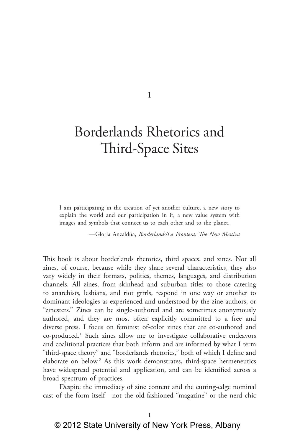1

# Borderlands Rhetorics and Third‑Space Sites

I am participating in the creation of yet another culture, a new story to explain the world and our participation in it, a new value system with images and symbols that connect us to each other and to the planet.

—Gloria Anzaldúa, *Borderlands/La Frontera: The New Mestiza*

This book is about borderlands rhetorics, third spaces, and zines. Not all zines, of course, because while they share several characteristics, they also vary widely in their formats, politics, themes, languages, and distribution channels. All zines, from skinhead and suburban titles to those catering to anarchists, lesbians, and riot grrrls, respond in one way or another to dominant ideologies as experienced and understood by the zine authors, or "zinesters." Zines can be single‑authored and are sometimes anonymously authored, and they are most often explicitly committed to a free and diverse press. I focus on feminist of‑color zines that are co-authored and co‑produced.1 Such zines allow me to investigate collaborative endeavors and coalitional practices that both inform and are informed by what I term "third‑space theory" and "borderlands rhetorics," both of which I define and elaborate on below.<sup>2</sup> As this work demonstrates, third-space hermeneutics have widespread potential and application, and can be identified across a broad spectrum of practices.

Despite the immediacy of zine content and the cutting-edge nominal cast of the form itself—not the old-fashioned "magazine" or the nerd chic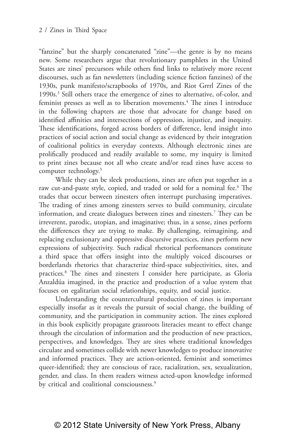"fanzine" but the sharply concatenated "zine"—the genre is by no means new. Some researchers argue that revolutionary pamphlets in the United States are zines' precursors while others find links to relatively more recent discourses, such as fan newsletters (including science fiction fanzines) of the 1930s, punk manifesto/scrapbooks of 1970s, and Riot Grrrl Zines of the 1990s.3 Still others trace the emergence of zines to alternative, of‑color, and feminist presses as well as to liberation movements.<sup>4</sup> The zines I introduce in the following chapters are those that advocate for change based on identified affinities and intersections of oppression, injustice, and inequity. These identifications, forged across borders of difference, lend insight into practices of social action and social change as evidenced by their integration of coalitional politics in everyday contexts. Although electronic zines are prolifically produced and readily available to some, my inquiry is limited to print zines because not all who create and/or read zines have access to computer technology.<sup>5</sup>

While they can be sleek productions, zines are often put together in a raw cut-and-paste style, copied, and traded or sold for a nominal fee.<sup>6</sup> The trades that occur between zinesters often interrupt purchasing imperatives. The trading of zines among zinesters serves to build community, circulate information, and create dialogues between zines and zinesters.7 They can be irreverent, parodic, utopian, and imaginative; thus, in a sense, zines perform the differences they are trying to make. By challenging, reimagining, and replacing exclusionary and oppressive discursive practices, zines perform new expressions of subjectivity. Such radical rhetorical performances constitute a third space that offers insight into the multiply voiced discourses or borderlands rhetorics that characterize third-space subjectivities, sites, and practices.8 The zines and zinesters I consider here participate, as Gloria Anzaldúa imagined, in the practice and production of a value system that focuses on egalitarian social relationships, equity, and social justice.

Understanding the countercultural production of zines is important especially insofar as it reveals the pursuit of social change, the building of community, and the participation in community action. The zines explored in this book explicitly propagate grassroots literacies meant to effect change through the circulation of information and the production of new practices, perspectives, and knowledges. They are sites where traditional knowledges circulate and sometimes collide with newer knowledges to produce innovative and informed practices. They are action-oriented, feminist and sometimes queer-identified; they are conscious of race, racialization, sex, sexualization, gender, and class. In them readers witness acted-upon knowledge informed by critical and coalitional consciousness.<sup>9</sup>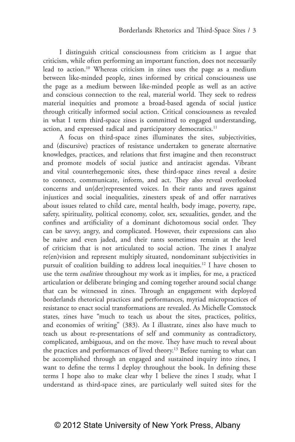I distinguish critical consciousness from criticism as I argue that criticism, while often performing an important function, does not necessarily lead to action.10 Whereas criticism in zines uses the page as a medium between like-minded people, zines informed by critical consciousness use the page as a medium between like‑minded people as well as an active and conscious connection to the real, material world. They seek to redress material inequities and promote a broad-based agenda of social justice through critically informed social action. Critical consciousness as revealed in what I term third-space zines is committed to engaged understanding, action, and expressed radical and participatory democratics.<sup>11</sup>

A focus on third‑space zines illuminates the sites, subjectivities, and (discursive) practices of resistance undertaken to generate alternative knowledges, practices, and relations that first imagine and then reconstruct and promote models of social justice and antiracist agendas. Vibrant and vital counterhegemonic sites, these third‑space zines reveal a desire to connect, communicate, inform, and act. They also reveal overlooked concerns and un(der)represented voices. In their rants and raves against injustices and social inequalities, zinesters speak of and offer narratives about issues related to child care, mental health, body image, poverty, rape, safety, spirituality, political economy, color, sex, sexualities, gender, and the confines and artificiality of a dominant dichotomous social order. They can be savvy, angry, and complicated. However, their expressions can also be naive and even jaded, and their rants sometimes remain at the level of criticism that is not articulated to social action. The zines I analyze re(en)vision and represent multiply situated, nondominant subjectivities in pursuit of coalition building to address local inequities.12 I have chosen to use the term *coalition* throughout my work as it implies, for me, a practiced articulation or deliberate bringing and coming together around social change that can be witnessed in zines. Through an engagement with deployed borderlands rhetorical practices and performances, myriad micropractices of resistance to enact social transformations are revealed. As Michelle Comstock states, zines have "much to teach us about the sites, practices, politics, and economies of writing" (383). As I illustrate, zines also have much to teach us about re‑presentations of self and community as contradictory, complicated, ambiguous, and on the move. They have much to reveal about the practices and performances of lived theory.<sup>13</sup> Before turning to what can be accomplished through an engaged and sustained inquiry into zines, I want to define the terms I deploy throughout the book. In defining these terms I hope also to make clear why I believe the zines I study, what I understand as third‑space zines, are particularly well suited sites for the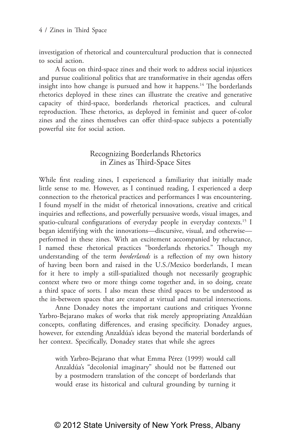investigation of rhetorical and countercultural production that is connected to social action.

A focus on third‑space zines and their work to address social injustices and pursue coalitional politics that are transformative in their agendas offers insight into how change is pursued and how it happens.<sup>14</sup> The borderlands rhetorics deployed in these zines can illustrate the creative and generative capacity of third‑space, borderlands rhetorical practices, and cultural reproduction. These rhetorics, as deployed in feminist and queer of-color zines and the zines themselves can offer third-space subjects a potentially powerful site for social action.

### Recognizing Borderlands Rhetorics in Zines as Third‑Space Sites

While first reading zines, I experienced a familiarity that initially made little sense to me. However, as I continued reading, I experienced a deep connection to the rhetorical practices and performances I was encountering. I found myself in the midst of rhetorical innovations, creative and critical inquiries and reflections, and powerfully persuasive words, visual images, and spatio-cultural configurations of everyday people in everyday contexts.<sup>15</sup> I began identifying with the innovations—discursive, visual, and otherwise performed in these zines. With an excitement accompanied by reluctance, I named these rhetorical practices "borderlands rhetorics." Though my understanding of the term *borderlands* is a reflection of my own history of having been born and raised in the U.S./Mexico borderlands, I mean for it here to imply a still‑spatialized though not necessarily geographic context where two or more things come together and, in so doing, create a third space of sorts. I also mean these third spaces to be understood as the in-between spaces that are created at virtual and material intersections.

Anne Donadey notes the important cautions and critiques Yvonne Yarbro‑Bejarano makes of works that risk merely appropriating Anzaldúan concepts, conflating differences, and erasing specificity. Donadey argues, however, for extending Anzaldúa's ideas beyond the material borderlands of her context. Specifically, Donadey states that while she agrees

with Yarbro-Bejarano that what Emma Pérez (1999) would call Anzaldúa's "decolonial imaginary" should not be flattened out by a postmodern translation of the concept of borderlands that would erase its historical and cultural grounding by turning it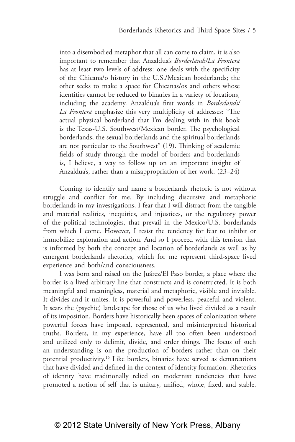into a disembodied metaphor that all can come to claim, it is also important to remember that Anzaldua's *Borderlands/La Frontera* has at least two levels of address: one deals with the specificity of the Chicana/o history in the U.S./Mexican borderlands; the other seeks to make a space for Chicanas/os and others whose identities cannot be reduced to binaries in a variety of locations, including the academy. Anzaldua's first words in *Borderlands/ La Frontera* emphasize this very multiplicity of addresses: "The actual physical borderland that I'm dealing with in this book is the Texas‑U.S. Southwest/Mexican border. The psychological borderlands, the sexual borderlands and the spiritual borderlands are not particular to the Southwest" (19). Thinking of academic fields of study through the model of borders and borderlands is, I believe, a way to follow up on an important insight of Anzaldua's, rather than a misappropriation of her work. (23–24)

Coming to identify and name a borderlands rhetoric is not without struggle and conflict for me. By including discursive and metaphoric borderlands in my investigations, I fear that I will distract from the tangible and material realities, inequities, and injustices, or the regulatory power of the political technologies, that prevail in the Mexico/U.S. borderlands from which I come. However, I resist the tendency for fear to inhibit or immobilize exploration and action. And so I proceed with this tension that is informed by both the concept and location of borderlands as well as by emergent borderlands rhetorics, which for me represent third-space lived experience and both/and consciousness.

I was born and raised on the Juárez/El Paso border, a place where the border is a lived arbitrary line that constructs and is constructed. It is both meaningful and meaningless, material and metaphoric, visible and invisible. It divides and it unites. It is powerful and powerless, peaceful and violent. It scars the (psychic) landscape for those of us who lived divided as a result of its imposition. Borders have historically been spaces of colonization where powerful forces have imposed, represented, and misinterpreted historical truths. Borders, in my experience, have all too often been understood and utilized only to delimit, divide, and order things. The focus of such an understanding is on the production of borders rather than on their potential productivity.16 Like borders, binaries have served as demarcations that have divided and defined in the context of identity formation. Rhetorics of identity have traditionally relied on modernist tendencies that have promoted a notion of self that is unitary, unified, whole, fixed, and stable.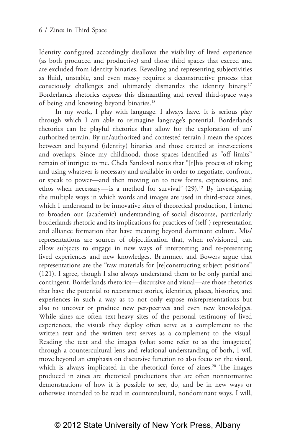Identity configured accordingly disallows the visibility of lived experience (as both produced and productive) and those third spaces that exceed and are excluded from identity binaries. Revealing and representing subjectivities as fluid, unstable, and even messy requires a deconstructive process that consciously challenges and ultimately dismantles the identity binary.17 Borderlands rhetorics express this dismantling and reveal third‑space ways of being and knowing beyond binaries.<sup>18</sup>

In my work, I play with language. I always have. It is serious play through which I am able to reimagine language's potential. Borderlands rhetorics can be playful rhetorics that allow for the exploration of un/ authorized terrain. By un/authorized and contested terrain I mean the spaces between and beyond (identity) binaries and those created at intersections and overlaps. Since my childhood, those spaces identified as "off limits" remain of intrigue to me. Chela Sandoval notes that "[t]his process of taking and using whatever is necessary and available in order to negotiate, confront, or speak to power—and then moving on to new forms, expressions, and ethos when necessary—is a method for survival" (29).<sup>19</sup> By investigating the multiple ways in which words and images are used in third-space zines, which I understand to be innovative sites of theoretical production, I intend to broaden our (academic) understanding of social discourse, particularly borderlands rhetoric and its implications for practices of (self-) representation and alliance formation that have meaning beyond dominant culture. Mis/ representations are sources of objectification that, when re/visioned, can allow subjects to engage in new ways of interpreting and re‑presenting lived experiences and new knowledges. Brummett and Bowers argue that representations are the "raw materials for [re]constructing subject positions" (121). I agree, though I also always understand them to be only partial and contingent. Borderlands rhetorics—discursive and visual—are those rhetorics that have the potential to reconstruct stories, identities, places, histories, and experiences in such a way as to not only expose misrepresentations but also to uncover or produce new perspectives and even new knowledges. While zines are often text-heavy sites of the personal testimony of lived experiences, the visuals they deploy often serve as a complement to the written text and the written text serves as a complement to the visual. Reading the text and the images (what some refer to as the imagetext) through a countercultural lens and relational understanding of both, I will move beyond an emphasis on discursive function to also focus on the visual, which is always implicated in the rhetorical force of zines.<sup>20</sup> The images produced in zines are rhetorical productions that are often nonnormative demonstrations of how it is possible to see, do, and be in new ways or otherwise intended to be read in countercultural, nondominant ways. I will,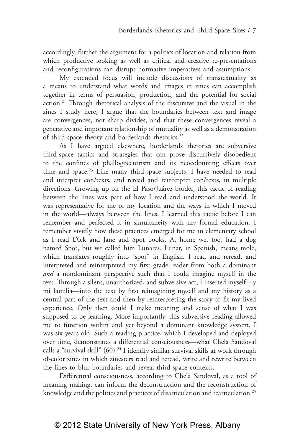accordingly, further the argument for a politics of location and relation from which productive looking as well as critical and creative re-presentations and reconfigurations can disrupt normative imperatives and assumptions.

My extended focus will include discussions of transtextuality as a means to understand what words and images in zines can accomplish together in terms of persuasion, production, and the potential for social action.21 Through rhetorical analysis of the discursive and the visual in the zines I study here, I argue that the boundaries between text and image are convergences, not sharp divides, and that these convergences reveal a generative and important relationship of mutuality as well as a demonstration of third-space theory and borderlands rhetorics.<sup>22</sup>

As I have argued elsewhere, borderlands rhetorics are subversive third-space tactics and strategies that can prove discursively disobedient to the confines of phallogocentrism and its neocolonizing effects over time and space.<sup>23</sup> Like many third-space subjects, I have needed to read and interpret con/texts, and reread and reinterpret con/texts, in multiple directions. Growing up on the El Paso/Juárez border, this tactic of reading between the lines was part of how I read and understood the world. It was representative for me of my location and the ways in which I moved in the world—always between the lines. I learned this tactic before I can remember and perfected it in simultaneity with my formal education. I remember vividly how these practices emerged for me in elementary school as I read Dick and Jane and Spot books. At home we, too, had a dog named Spot, but we called him Lunares. Lunar, in Spanish, means mole, which translates roughly into "spot" in English. I read and reread, and interpreted and reinterpreted my first grade reader from both a dominant *and* a nondominant perspective such that I could imagine myself in the text. Through a silent, unauthorized, and subversive act, I inserted myself—y mi familia—into the text by first reimagining myself and my history as a central part of the text and then by reinterpreting the story to fit my lived experience. Only then could I make meaning and sense of what I was supposed to be learning. More importantly, this subversive reading allowed me to function within and yet beyond a dominant knowledge system. I was six years old. Such a reading practice, which I developed and deployed over time, demonstrates a differential consciousness—what Chela Sandoval calls a "survival skill" (60).<sup>24</sup> I identify similar survival skills at work through of‑color zines in which zinesters read and reread, write and rewrite between the lines to blur boundaries and reveal third-space contexts.

Differential consciousness, according to Chela Sandoval, as a tool of meaning making, can inform the deconstruction and the reconstruction of knowledge and the politics and practices of disarticulation and rearticulation.<sup>25</sup>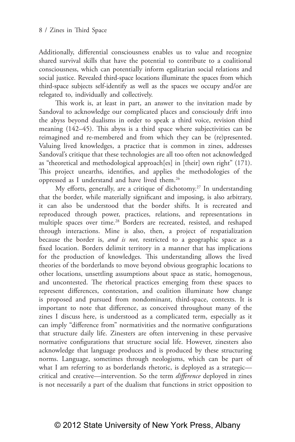Additionally, differential consciousness enables us to value and recognize shared survival skills that have the potential to contribute to a coalitional consciousness, which can potentially inform egalitarian social relations and social justice. Revealed third-space locations illuminate the spaces from which third-space subjects self-identify as well as the spaces we occupy and/or are relegated to, individually and collectively.

This work is, at least in part, an answer to the invitation made by Sandoval to acknowledge our complicated places and consciously drift into the abyss beyond dualisms in order to speak a third voice, revision third meaning (142–45). This abyss is a third space where subjectivities can be reimagined and re-membered and from which they can be (re)presented. Valuing lived knowledges, a practice that is common in zines, addresses Sandoval's critique that these technologies are all too often not acknowledged as "theoretical and methodological approach[es] in [their] own right" (171). This project unearths, identifies, and applies the methodologies of the oppressed as I understand and have lived them.26

My efforts, generally, are a critique of dichotomy.<sup>27</sup> In understanding that the border, while materially significant and imposing, is also arbitrary, it can also be understood that the border shifts. It is recreated and reproduced through power, practices, relations, and representations in multiple spaces over time.<sup>28</sup> Borders are recreated, resisted, and reshaped through interactions. Mine is also, then, a project of respatialization because the border is, *and is not,* restricted to a geographic space as a fixed location. Borders delimit territory in a manner that has implications for the production of knowledges. This understanding allows the lived theories of the borderlands to move beyond obvious geographic locations to other locations, unsettling assumptions about space as static, homogenous, and uncontested. The rhetorical practices emerging from these spaces to represent differences, contestation, and coalition illuminate how change is proposed and pursued from nondominant, third-space, contexts. It is important to note that difference, as conceived throughout many of the zines I discuss here, is understood as a complicated term, especially as it can imply "difference from" normativities and the normative configurations that structure daily life. Zinesters are often intervening in these pervasive normative configurations that structure social life. However, zinesters also acknowledge that language produces and is produced by these structuring norms. Language, sometimes through neologisms, which can be part of what I am referring to as borderlands rhetoric, is deployed as a strategiccritical and creative—intervention. So the term *difference* deployed in zines is not necessarily a part of the dualism that functions in strict opposition to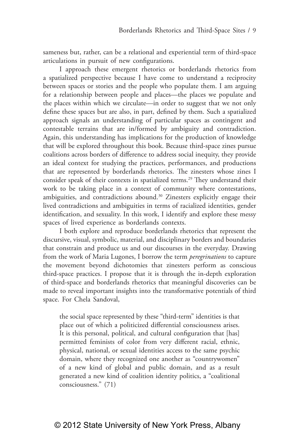sameness but, rather, can be a relational and experiential term of third-space articulations in pursuit of new configurations.

I approach these emergent rhetorics or borderlands rhetorics from a spatialized perspective because I have come to understand a reciprocity between spaces or stories and the people who populate them. I am arguing for a relationship between people and places—the places we populate and the places within which we circulate—in order to suggest that we not only define these spaces but are also, in part, defined by them. Such a spatialized approach signals an understanding of particular spaces as contingent and contestable terrains that are in/formed by ambiguity and contradiction. Again, this understanding has implications for the production of knowledge that will be explored throughout this book. Because third-space zines pursue coalitions across borders of difference to address social inequity, they provide an ideal context for studying the practices, performances, and productions that are represented by borderlands rhetorics. The zinesters whose zines I consider speak of their contexts in spatialized terms.<sup>29</sup> They understand their work to be taking place in a context of community where contestations, ambiguities, and contradictions abound.<sup>30</sup> Zinesters explicitly engage their lived contradictions and ambiguities in terms of racialized identities, gender identification, and sexuality. In this work, I identify and explore these messy spaces of lived experience as borderlands contexts.

I both explore and reproduce borderlands rhetorics that represent the discursive, visual, symbolic, material, and disciplinary borders and boundaries that constrain and produce us and our discourses in the everyday. Drawing from the work of Maria Lugones, I borrow the term *peregrinations* to capture the movement beyond dichotomies that zinesters perform as conscious third‑space practices. I propose that it is through the in‑depth exploration of third‑space and borderlands rhetorics that meaningful discoveries can be made to reveal important insights into the transformative potentials of third space. For Chela Sandoval,

the social space represented by these "third-term" identities is that place out of which a politicized differential consciousness arises. It is this personal, political, and cultural configuration that [has] permitted feminists of color from very different racial, ethnic, physical, national, or sexual identities access to the same psychic domain, where they recognized one another as "countrywomen" of a new kind of global and public domain, and as a result generated a new kind of coalition identity politics, a "coalitional consciousness." (71)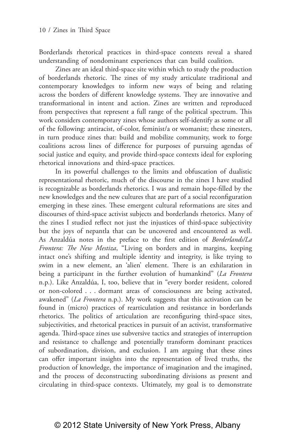Borderlands rhetorical practices in third-space contexts reveal a shared understanding of nondominant experiences that can build coalition.

Zines are an ideal third‑space site within which to study the production of borderlands rhetoric. The zines of my study articulate traditional and contemporary knowledges to inform new ways of being and relating across the borders of different knowledge systems. They are innovative and transformational in intent and action. Zines are written and reproduced from perspectives that represent a full range of the political spectrum. This work considers contemporary zines whose authors self-identify as some or all of the following: antiracist, of‑color, feminist/a or womanist; these zinesters, in turn produce zines that: build and mobilize community, work to forge coalitions across lines of difference for purposes of pursuing agendas of social justice and equity, and provide third-space contexts ideal for exploring rhetorical innovations and third‑space practices.

In its powerful challenges to the limits and obfuscation of dualistic representational rhetoric, much of the discourse in the zines I have studied is recognizable as borderlands rhetorics. I was and remain hope-filled by the new knowledges and the new cultures that are part of a social reconfiguration emerging in these zines. These emergent cultural reformations are sites and discourses of third‑space activist subjects and borderlands rhetorics. Many of the zines I studied reflect not just the injustices of third-space subjectivity but the joys of nepantla that can be uncovered and encountered as well. As Anzaldúa notes in the preface to the first edition of *Borderlands/La Frontera: The New Mestiza*, "Living on borders and in margins, keeping intact one's shifting and multiple identity and integrity, is like trying to swim in a new element, an 'alien' element. There is an exhilaration in being a participant in the further evolution of humankind" (*La Frontera* n.p.). Like Anzaldúa, I, too, believe that in "every border resident, colored or non‑colored . . . dormant areas of consciousness are being activated, awakened" (*La Frontera* n.p.). My work suggests that this activation can be found in (micro) practices of rearticulation and resistance in borderlands rhetorics. The politics of articulation are reconfiguring third-space sites, subjectivities, and rhetorical practices in pursuit of an activist, transformative agenda. Third‑space zines use subversive tactics and strategies of interruption and resistance to challenge and potentially transform dominant practices of subordination, division, and exclusion. I am arguing that these zines can offer important insights into the representation of lived truths, the production of knowledge, the importance of imagination and the imagined, and the process of deconstructing subordinating divisions as present and circulating in third‑space contexts. Ultimately, my goal is to demonstrate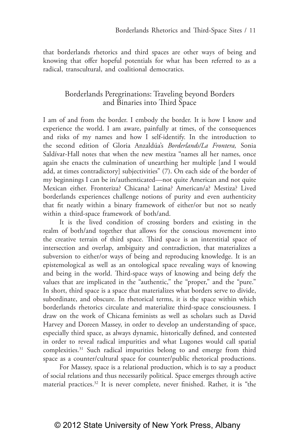that borderlands rhetorics and third spaces are other ways of being and knowing that offer hopeful potentials for what has been referred to as a radical, transcultural, and coalitional democratics.

#### Borderlands Peregrinations: Traveling beyond Borders and Binaries into Third Space

I am of and from the border. I embody the border. It is how I know and experience the world. I am aware, painfully at times, of the consequences and risks of my names and how I self‑identify. In the introduction to the second edition of Gloria Anzaldúa's *Borderlands/La Frontera,* Sonia Saldívar-Hall notes that when the new mestiza "names all her names, once again she enacts the culmination of unearthing her multiple [and I would add, at times contradictory] subjectivities" (7). On each side of the border of my beginnings I can be in/authenticated—not quite American and not quite Mexican either. Fronteriza? Chicana? Latina? American/a? Mestiza? Lived borderlands experiences challenge notions of purity and even authenticity that fit neatly within a binary framework of either/or but not so neatly within a third‑space framework of both/and.

It is the lived condition of crossing borders and existing in the realm of both/and together that allows for the conscious movement into the creative terrain of third space. Third space is an interstitial space of intersection and overlap, ambiguity and contradiction, that materializes a subversion to either/or ways of being and reproducing knowledge. It is an epistemological as well as an ontological space revealing ways of knowing and being in the world. Third‑space ways of knowing and being defy the values that are implicated in the "authentic," the "proper," and the "pure." In short, third space is a space that materializes what borders serve to divide, subordinate, and obscure. In rhetorical terms, it is the space within which borderlands rhetorics circulate and materialize third-space consciousness. I draw on the work of Chicana feminists as well as scholars such as David Harvey and Doreen Massey, in order to develop an understanding of space, especially third space, as always dynamic, historically defined, and contested in order to reveal radical impurities and what Lugones would call spatial complexities.31 Such radical impurities belong to and emerge from third space as a counter/cultural space for counter/public rhetorical productions.

For Massey, space is a relational production, which is to say a product of social relations and thus necessarily political. Space emerges through active material practices.32 It is never complete, never finished. Rather, it is "the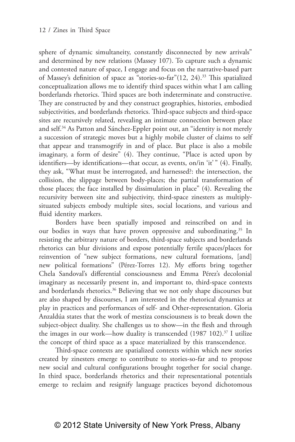sphere of dynamic simultaneity, constantly disconnected by new arrivals" and determined by new relations (Massey 107). To capture such a dynamic and contested nature of space, I engage and focus on the narrative-based part of Massey's definition of space as "stories-so-far"(12, 24).<sup>33</sup> This spatialized conceptualization allows me to identify third spaces within what I am calling borderlands rhetorics. Third spaces are both indeterminate and constructive. They are constructed by and they construct geographies, histories, embodied subjectivities, and borderlands rhetorics. Third-space subjects and third-space sites are recursively related, revealing an intimate connection between place and self.<sup>34</sup> As Patton and Sánchez-Eppler point out, an "identity is not merely a succession of strategic moves but a highly mobile cluster of claims to self that appear and transmogrify in and of place. But place is also a mobile imaginary, a form of desire" (4). They continue, "Place is acted upon by identifiers—by identifications—that occur, as events, on/in 'it' " (4). Finally, they ask, "What must be interrogated, and harnessed?: the intersection, the collision, the slippage between body‑places; the partial transformation of those places; the face installed by dissimulation in place" (4). Revealing the recursivity between site and subjectivity, third-space zinesters as multiplysituated subjects embody multiple sites, social locations, and various and fluid identity markers.

Borders have been spatially imposed and reinscribed on and in our bodies in ways that have proven oppressive and subordinating.<sup>35</sup> In resisting the arbitrary nature of borders, third-space subjects and borderlands rhetorics can blur divisions and expose potentially fertile spaces/places for reinvention of "new subject formations, new cultural formations, [and] new political formations" (Pérez‑Torres 12). My efforts bring together Chela Sandoval's differential consciousness and Emma Pérez's decolonial imaginary as necessarily present in, and important to, third-space contexts and borderlands rhetorics.<sup>36</sup> Believing that we not only shape discourses but are also shaped by discourses, I am interested in the rhetorical dynamics at play in practices and performances of self- and Other-representation. Gloria Anzaldúa states that the work of mestiza consciousness is to break down the subject-object duality. She challenges us to show—in the flesh and through the images in our work—how duality is transcended (1987 102).<sup>37</sup> I utilize the concept of third space as a space materialized by this transcendence.

Third-space contexts are spatialized contexts within which new stories created by zinesters emerge to contribute to stories-so-far and to propose new social and cultural configurations brought together for social change. In third space, borderlands rhetorics and their representational potentials emerge to reclaim and resignify language practices beyond dichotomous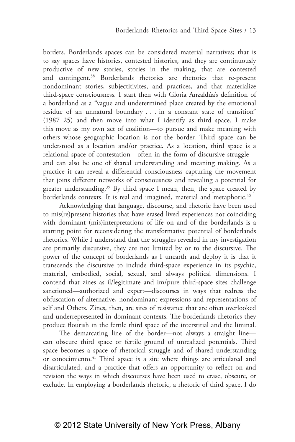borders. Borderlands spaces can be considered material narratives; that is to say spaces have histories, contested histories, and they are continuously productive of new stories, stories in the making, that are contested and contingent.<sup>38</sup> Borderlands rhetorics are rhetorics that re-present nondominant stories, subjectitivites, and practices, and that materialize third‑space consciousness. I start then with Gloria Anzaldúa's definition of a borderland as a "vague and undetermined place created by the emotional residue of an unnatural boundary . . . in a constant state of transition" (1987 25) and then move into what I identify as third space. I make this move as my own act of coalition—to pursue and make meaning with others whose geographic location is not the border. Third space can be understood as a location and/or practice. As a location, third space is a relational space of contestation—often in the form of discursive struggle and can also be one of shared understanding and meaning making. As a practice it can reveal a differential consciousness capturing the movement that joins different networks of consciousness and revealing a potential for greater understanding.<sup>39</sup> By third space I mean, then, the space created by borderlands contexts. It is real and imagined, material and metaphoric.<sup>40</sup>

Acknowledging that language, discourse, and rhetoric have been used to mis(re)present histories that have erased lived experiences not coinciding with dominant (mis)interpretations of life on and of the borderlands is a starting point for reconsidering the transformative potential of borderlands rhetorics. While I understand that the struggles revealed in my investigation are primarily discursive, they are not limited by or to the discursive. The power of the concept of borderlands as I unearth and deploy it is that it transcends the discursive to include third‑space experience in its psychic, material, embodied, social, sexual, and always political dimensions. I contend that zines as il/legitimate and im/pure third-space sites challenge sanctioned—authorized and expert—discourses in ways that redress the obfuscation of alternative, nondominant expressions and representations of self and Others. Zines, then, are sites of resistance that are often overlooked and underrepresented in dominant contexts. The borderlands rhetorics they produce flourish in the fertile third space of the interstitial and the liminal.

The demarcating line of the border—not always a straight line can obscure third space or fertile ground of unrealized potentials. Third space becomes a space of rhetorical struggle and of shared understanding or conocimiento.41 Third space is a site where things are articulated and disarticulated, and a practice that offers an opportunity to reflect on and revision the ways in which discourses have been used to erase, obscure, or exclude. In employing a borderlands rhetoric, a rhetoric of third space, I do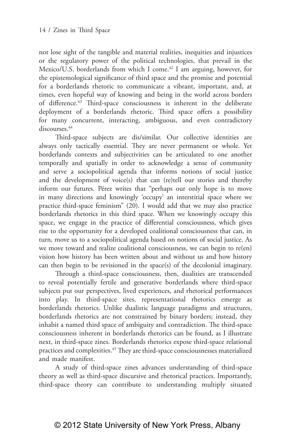not lose sight of the tangible and material realities, inequities and injustices or the regulatory power of the political technologies, that prevail in the Mexico/U.S. borderlands from which I come.<sup>42</sup> I am arguing, however, for the epistemological significance of third space and the promise and potential for a borderlands rhetoric to communicate a vibrant, important, and, at times, even hopeful way of knowing and being in the world across borders of difference.<sup>43</sup> Third-space consciousness is inherent in the deliberate deployment of a borderlands rhetoric. Third space offers a possibility for many concurrent, interacting, ambiguous, and even contradictory discourses.<sup>44</sup>

Third-space subjects are dis/similar. Our collective identities are always only tactically essential. They are never permanent or whole. Yet borderlands contexts and subjectivities can be articulated to one another temporally and spatially in order to acknowledge a sense of community and serve a sociopolitical agenda that informs notions of social justice and the development of voice(s) that can (re)tell our stories and thereby inform our futures. Pérez writes that "perhaps our only hope is to move in many directions and knowingly 'occupy' an interstitial space where we practice third-space feminism" (20). I would add that we may also practice borderlands rhetorics in this third space. When we knowingly occupy this space, we engage in the practice of differential consciousness, which gives rise to the opportunity for a developed coalitional consciousness that can, in turn, move us to a sociopolitical agenda based on notions of social justice. As we move toward and realize coalitional consciousness, we can begin to re(en) vision how history has been written about and without us and how history can then begin to be revisioned in the space(s) of the decolonial imaginary.

Through a third-space consciousness, then, dualities are transcended to reveal potentially fertile and generative borderlands where third-space subjects put our perspectives, lived experiences, and rhetorical performances into play. In third‑space sites, representational rhetorics emerge as borderlands rhetorics. Unlike dualistic language paradigms and structures, borderlands rhetorics are not constrained by binary borders; instead, they inhabit a named third space of ambiguity and contradiction. The third-space consciousness inherent in borderlands rhetorics can be found, as I illustrate next, in third-space zines. Borderlands rhetorics expose third-space relational practices and complexities.<sup>45</sup> They are third-space consciousnesses materialized and made manifest.

A study of third‑space zines advances understanding of third‑space theory as well as third-space discursive and rhetorical practices. Importantly, third‑space theory can contribute to understanding multiply situated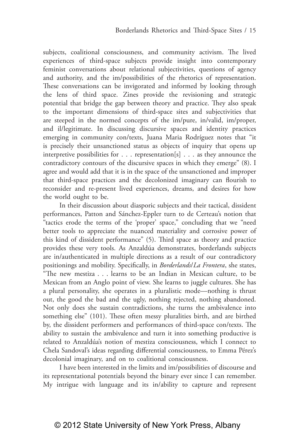subjects, coalitional consciousness, and community activism. The lived experiences of third-space subjects provide insight into contemporary feminist conversations about relational subjectivities, questions of agency and authority, and the im/possibilities of the rhetorics of representation. These conversations can be invigorated and informed by looking through the lens of third space. Zines provide the revisioning and strategic potential that bridge the gap between theory and practice. They also speak to the important dimensions of third‑space sites and subjectivities that are steeped in the normed concepts of the im/pure, in/valid, im/proper, and il/legitimate. In discussing discursive spaces and identity practices emerging in community con/texts, Juana Maria Rodríguez notes that "it is precisely their unsanctioned status as objects of inquiry that opens up interpretive possibilities for . . . representation[s] . . . as they announce the contradictory contours of the discursive spaces in which they emerge" (8). I agree and would add that it is in the space of the unsanctioned and improper that third‑space practices and the decolonized imaginary can flourish to reconsider and re‑present lived experiences, dreams, and desires for how the world ought to be.

In their discussion about diasporic subjects and their tactical, dissident performances, Patton and Sánchez‑Eppler turn to de Certeau's notion that "tactics erode the terms of the 'proper' space," concluding that we "need better tools to appreciate the nuanced materiality and corrosive power of this kind of dissident performance" (5). Third space as theory and practice provides these very tools. As Anzaldúa demonstrates, borderlands subjects are in/authenticated in multiple directions as a result of our contradictory positionings and mobility. Specifically, in *Borderlands*/*La Frontera*, she states, "The new mestiza . . . learns to be an Indian in Mexican culture, to be Mexican from an Anglo point of view. She learns to juggle cultures. She has a plural personality, she operates in a pluralistic mode—nothing is thrust out, the good the bad and the ugly, nothing rejected, nothing abandoned. Not only does she sustain contradictions, she turns the ambivalence into something else" (101). These often messy pluralities birth, and are birthed by, the dissident performers and performances of third‑space con/texts. The ability to sustain the ambivalence and turn it into something productive is related to Anzaldúa's notion of mestiza consciousness, which I connect to Chela Sandoval's ideas regarding differential consciousness, to Emma Pérez's decolonial imaginary, and on to coalitional consciousness.

I have been interested in the limits and im/possibilities of discourse and its representational potentials beyond the binary ever since I can remember. My intrigue with language and its in/ability to capture and represent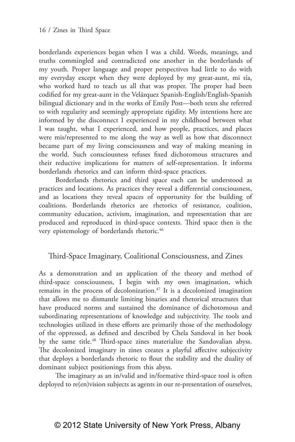borderlands experiences began when I was a child. Words, meanings, and truths commingled and contradicted one another in the borderlands of my youth. Proper language and proper perspectives had little to do with my everyday except when they were deployed by my great-aunt, mi tía, who worked hard to teach us all that was proper. The proper had been codified for my great-aunt in the Velázquez Spanish-English/English-Spanish bilingual dictionary and in the works of Emily Post—both texts she referred to with regularity and seemingly appropriate rigidity. My intentions here are informed by the disconnect I experienced in my childhood between what I was taught, what I experienced, and how people, practices, and places were mis/represented to me along the way as well as how that disconnect became part of my living consciousness and way of making meaning in the world. Such consciousness refuses fixed dichotomous structures and their reductive implications for matters of self‑representation. It informs borderlands rhetorics and can inform third‑space practices.

Borderlands rhetorics and third space each can be understood as practices and locations. As practices they reveal a differential consciousness, and as locations they reveal spaces of opportunity for the building of coalitions. Borderlands rhetorics are rhetorics of resistance, coalition, community education, activism, imagination, and representation that are produced and reproduced in third‑space contexts. Third space then is the very epistemology of borderlands rhetoric.<sup>46</sup>

#### Third-Space Imaginary, Coalitional Consciousness, and Zines

As a demonstration and an application of the theory and method of third-space consciousness, I begin with my own imagination, which remains in the process of decolonization.<sup>47</sup> It is a decolonized imagination that allows me to dismantle limiting binaries and rhetorical structures that have produced norms and sustained the dominance of dichotomous and subordinating representations of knowledge and subjectivity. The tools and technologies utilized in these efforts are primarily those of the methodology of the oppressed, as defined and described by Chela Sandoval in her book by the same title.<sup>48</sup> Third-space zines materialize the Sandovalian abyss. The decolonized imaginary in zines creates a playful affective subjectivity that deploys a borderlands rhetoric to flout the stability and the duality of dominant subject positionings from this abyss.

The imaginary as an in/valid and in/formative third-space tool is often deployed to re(en)vision subjects as agents in our re-presentation of ourselves,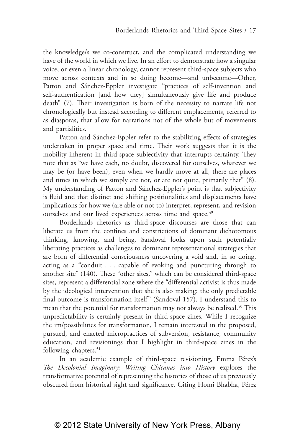the knowledge/s we co‑construct, and the complicated understanding we have of the world in which we live. In an effort to demonstrate how a singular voice, or even a linear chronology, cannot represent third-space subjects who move across contexts and in so doing become—and unbecome—Other, Patton and Sánchez-Eppler investigate "practices of self-invention and self-authentication [and how they] simultaneously give life and produce death" (7). Their investigation is born of the necessity to narrate life not chronologically but instead according to different emplacements, referred to as diasporas, that allow for narrations not of the whole but of movements and partialities.

Patton and Sánchez-Eppler refer to the stabilizing effects of strategies undertaken in proper space and time. Their work suggests that it is the mobility inherent in third‑space subjectivity that interrupts certainty. They note that as "we have each, no doubt, discovered for ourselves, whatever we may be (or have been), even when we hardly move at all, there are places and times in which we simply are not, or are not quite, primarily that" (8). My understanding of Patton and Sánchez‑Eppler's point is that subjectivity is fluid and that distinct and shifting positionalities and displacements have implications for how we (are able or not to) interpret, represent, and revision ourselves and our lived experiences across time and space.<sup>49</sup>

Borderlands rhetorics as third‑space discourses are those that can liberate us from the confines and constrictions of dominant dichotomous thinking, knowing, and being. Sandoval looks upon such potentially liberating practices as challenges to dominant representational strategies that are born of differential consciousness uncovering a void and, in so doing, acting as a "conduit . . . capable of evoking and puncturing through to another site" (140). These "other sites," which can be considered third-space sites, represent a differential zone where the "differential activist is thus made by the ideological intervention that she is also making: the only predictable final outcome is transformation itself" (Sandoval 157). I understand this to mean that the potential for transformation may not always be realized.<sup>50</sup> This unpredictability is certainly present in third-space zines. While I recognize the im/possibilities for transformation, I remain interested in the proposed, pursued, and enacted micropractices of subversion, resistance, community education, and revisionings that I highlight in third-space zines in the following chapters.<sup>51</sup>

In an academic example of third-space revisioning, Emma Pérez's *The Decolonial Imaginary: Writing Chicanas into History* explores the transformative potential of representing the histories of those of us previously obscured from historical sight and significance. Citing Homi Bhabha, Pérez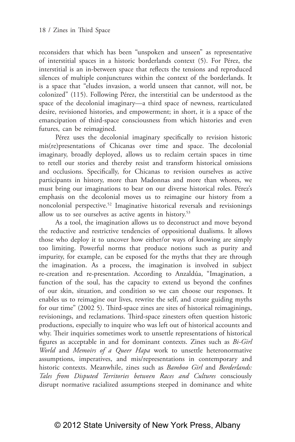reconsiders that which has been "unspoken and unseen" as representative of interstitial spaces in a historic borderlands context (5). For Pérez, the interstitial is an in‑between space that reflects the tensions and reproduced silences of multiple conjunctures within the context of the borderlands. It is a space that "eludes invasion, a world unseen that cannot, will not, be colonized" (115). Following Pérez, the interstitial can be understood as the space of the decolonial imaginary—a third space of newness, rearticulated desire, revisioned histories, and empowerment; in short, it is a space of the emancipation of third-space consciousness from which histories and even futures, can be reimagined.

Pérez uses the decolonial imaginary specifically to revision historic mis(re)presentations of Chicanas over time and space. The decolonial imaginary, broadly deployed, allows us to reclaim certain spaces in time to retell our stories and thereby resist and transform historical omissions and occlusions. Specifically, for Chicanas to revision ourselves as active participants in history, more than Madonnas and more than whores, we must bring our imaginations to bear on our diverse historical roles. Pérez's emphasis on the decolonial moves us to reimagine our history from a noncolonial perspective.52 Imaginative historical reversals and revisionings allow us to see ourselves as active agents in history.<sup>53</sup>

As a tool, the imagination allows us to deconstruct and move beyond the reductive and restrictive tendencies of oppositional dualisms. It allows those who deploy it to uncover how either/or ways of knowing are simply too limiting. Powerful norms that produce notions such as purity and impurity, for example, can be exposed for the myths that they are through the imagination. As a process, the imagination is involved in subject re‑creation and re‑presentation. According to Anzaldúa, "Imagination, a function of the soul, has the capacity to extend us beyond the confines of our skin, situation, and condition so we can choose our responses. It enables us to reimagine our lives, rewrite the self, and create guiding myths for our time" (2002 5). Third-space zines are sites of historical reimaginings, revisionings, and reclamations. Third‑space zinesters often question historic productions, especially to inquire who was left out of historical accounts and why. Their inquiries sometimes work to unsettle representations of historical figures as acceptable in and for dominant contexts. Zines such as *Bi‑Girl World* and *Memoirs of a Queer Hapa* work to unsettle heteronormative assumptions, imperatives, and mis/representations in contemporary and historic contexts. Meanwhile, zines such as *Bamboo Girl* and *Borderlands: Tales from Disputed Territories between Races and Cultures* consciously disrupt normative racialized assumptions steeped in dominance and white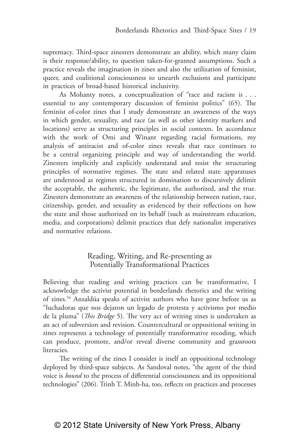supremacy. Third-space zinesters demonstrate an ability, which many claim is their response/ability, to question taken-for-granted assumptions. Such a practice reveals the imagination in zines and also the utilization of feminist, queer, and coalitional consciousness to unearth exclusions and participate in practices of broad‑based historical inclusivity.

As Mohanty notes, a conceptualization of "race and racism is . . . essential to any contemporary discussion of feminist politics" (65). The feminist of-color zines that I study demonstrate an awareness of the ways in which gender, sexuality, and race (as well as other identity markers and locations) serve as structuring principles in social contexts. In accordance with the work of Omi and Winant regarding racial formations, my analysis of antiracist and of‑color zines reveals that race continues to be a central organizing principle and way of understanding the world. Zinesters implicitly and explicitly understand and resist the structuring principles of normative regimes. The state and related state apparatuses are understood as regimes structured in domination to discursively delimit the acceptable, the authentic, the legitimate, the authorized, and the true. Zinesters demonstrate an awareness of the relationship between nation, race, citizenship, gender, and sexuality as evidenced by their reflections on how the state and those authorized on its behalf (such as mainstream education, media, and corporations) delimit practices that defy nationalist imperatives and normative relations.

#### Reading, Writing, and Re‑presenting as Potentially Transformational Practices

Believing that reading and writing practices can be transformative, I acknowledge the activist potential in borderlands rhetorics and the writing of zines.54 Anzaldúa speaks of activist authors who have gone before us as "luchadoras que nos dejaron un legado de protesta y activismo por medio de la pluma" (*This Bridge* 5). The very act of writing zines is undertaken as an act of subversion and revision. Countercultural or oppositional writing in zines represents a technology of potentially transformative recoding, which can produce, promote, and/or reveal diverse community and grassroots literacies.

The writing of the zines I consider is itself an oppositional technology deployed by third-space subjects. As Sandoval notes, "the agent of the third voice is *bound* to the process of differential consciousness and its oppositional technologies" (206). Trinh T. Minh‑ha, too, reflects on practices and processes